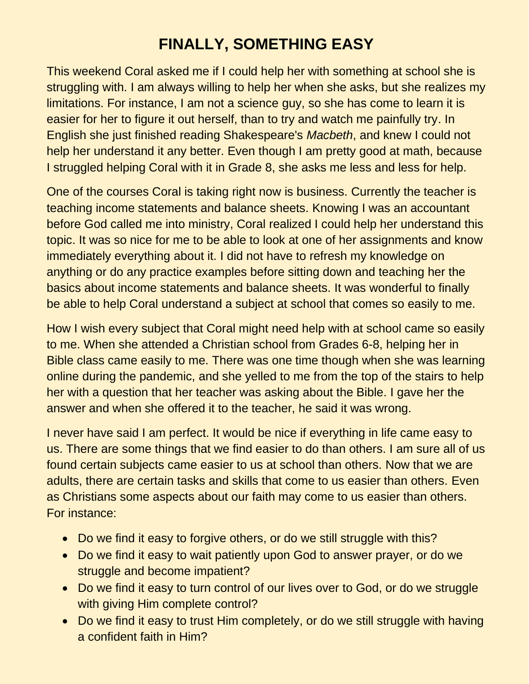## **FINALLY, SOMETHING EASY**

This weekend Coral asked me if I could help her with something at school she is struggling with. I am always willing to help her when she asks, but she realizes my limitations. For instance, I am not a science guy, so she has come to learn it is easier for her to figure it out herself, than to try and watch me painfully try. In English she just finished reading Shakespeare's *Macbeth*, and knew I could not help her understand it any better. Even though I am pretty good at math, because I struggled helping Coral with it in Grade 8, she asks me less and less for help.

One of the courses Coral is taking right now is business. Currently the teacher is teaching income statements and balance sheets. Knowing I was an accountant before God called me into ministry, Coral realized I could help her understand this topic. It was so nice for me to be able to look at one of her assignments and know immediately everything about it. I did not have to refresh my knowledge on anything or do any practice examples before sitting down and teaching her the basics about income statements and balance sheets. It was wonderful to finally be able to help Coral understand a subject at school that comes so easily to me.

How I wish every subject that Coral might need help with at school came so easily to me. When she attended a Christian school from Grades 6-8, helping her in Bible class came easily to me. There was one time though when she was learning online during the pandemic, and she yelled to me from the top of the stairs to help her with a question that her teacher was asking about the Bible. I gave her the answer and when she offered it to the teacher, he said it was wrong.

I never have said I am perfect. It would be nice if everything in life came easy to us. There are some things that we find easier to do than others. I am sure all of us found certain subjects came easier to us at school than others. Now that we are adults, there are certain tasks and skills that come to us easier than others. Even as Christians some aspects about our faith may come to us easier than others. For instance:

- Do we find it easy to forgive others, or do we still struggle with this?
- Do we find it easy to wait patiently upon God to answer prayer, or do we struggle and become impatient?
- Do we find it easy to turn control of our lives over to God, or do we struggle with giving Him complete control?
- Do we find it easy to trust Him completely, or do we still struggle with having a confident faith in Him?